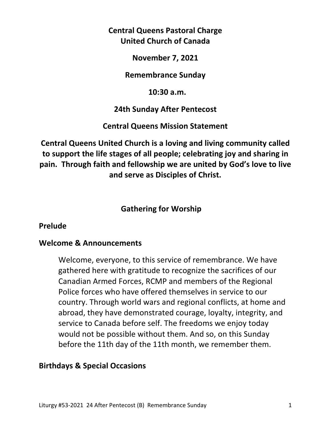# **Central Queens Pastoral Charge United Church of Canada**

**November 7, 2021** 

**Remembrance Sunday** 

 **10:30 a.m.** 

## **24th Sunday After Pentecost**

## **Central Queens Mission Statement**

**Central Queens United Church is a loving and living community called to support the life stages of all people; celebrating joy and sharing in pain. Through faith and fellowship we are united by God's love to live and serve as Disciples of Christ.**

# **Gathering for Worship**

## **Prelude**

## **Welcome & Announcements**

 Welcome, everyone, to this service of remembrance. We have gathered here with gratitude to recognize the sacrifices of our Canadian Armed Forces, RCMP and members of the Regional Police forces who have offered themselves in service to our country. Through world wars and regional conflicts, at home and abroad, they have demonstrated courage, loyalty, integrity, and service to Canada before self. The freedoms we enjoy today would not be possible without them. And so, on this Sunday before the 11th day of the 11th month, we remember them.

## **Birthdays & Special Occasions**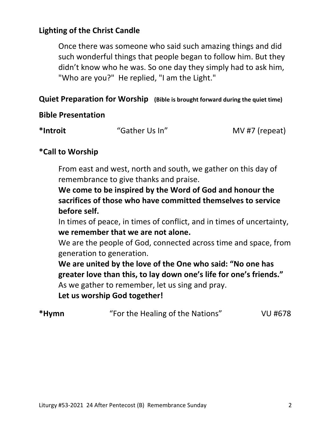# **Lighting of the Christ Candle**

 Once there was someone who said such amazing things and did such wonderful things that people began to follow him. But they didn't know who he was. So one day they simply had to ask him, "Who are you?" He replied, "I am the Light."

### **Quiet Preparation for Worship (Bible is brought forward during the quiet time)**

### **Bible Presentation**

| *Introit | "Gather Us In" | MV #7 (repeat) |
|----------|----------------|----------------|
|----------|----------------|----------------|

### **\*Call to Worship**

 From east and west, north and south, we gather on this day of remembrance to give thanks and praise.

 **We come to be inspired by the Word of God and honour the sacrifices of those who have committed themselves to service before self.** 

 In times of peace, in times of conflict, and in times of uncertainty,  **we remember that we are not alone.** 

 We are the people of God, connected across time and space, from generation to generation.

 **We are united by the love of the One who said: "No one has greater love than this, to lay down one's life for one's friends."**  As we gather to remember, let us sing and pray.

 **Let us worship God together!** 

| VU #678 |
|---------|
|         |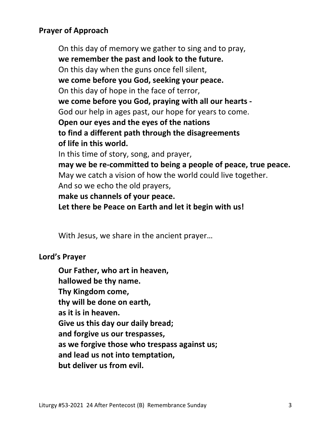## **Prayer of Approach**

On this day of memory we gather to sing and to pray, **we remember the past and look to the future.** On this day when the guns once fell silent, **we come before you God, seeking your peace.** On this day of hope in the face of terror, **we come before you God, praying with all our hearts -** God our help in ages past, our hope for years to come. **Open our eyes and the eyes of the nations to find a different path through the disagreements of life in this world.** In this time of story, song, and prayer, **may we be re-committed to being a people of peace, true peace.** May we catch a vision of how the world could live together. And so we echo the old prayers, **make us channels of your peace. Let there be Peace on Earth and let it begin with us!** 

With Jesus, we share in the ancient prayer…

### **Lord's Prayer**

**Our Father, who art in heaven, hallowed be thy name. Thy Kingdom come, thy will be done on earth, as it is in heaven. Give us this day our daily bread; and forgive us our trespasses, as we forgive those who trespass against us; and lead us not into temptation, but deliver us from evil.**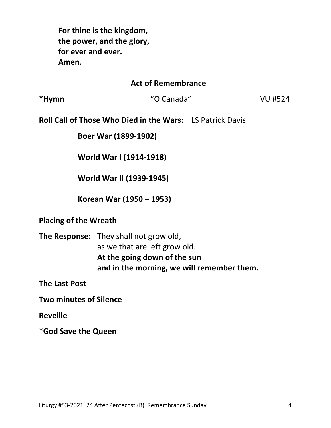**For thine is the kingdom, the power, and the glory, for ever and ever. Amen.** 

#### **Act of Remembrance**

**\*Hymn** "O Canada" VU #524

**Roll Call of Those Who Died in the Wars:** LS Patrick Davis

 **Boer War (1899-1902)** 

**World War I (1914-1918)**

**World War II (1939-1945)** 

 **Korean War (1950 – 1953)**

#### **Placing of the Wreath**

**The Response:** They shall not grow old, as we that are left grow old. **At the going down of the sun and in the morning, we will remember them.** 

**The Last Post** 

**Two minutes of Silence** 

**Reveille** 

**\*God Save the Queen**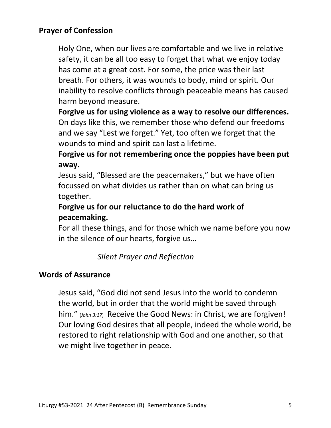## **Prayer of Confession**

 Holy One, when our lives are comfortable and we live in relative safety, it can be all too easy to forget that what we enjoy today has come at a great cost. For some, the price was their last breath. For others, it was wounds to body, mind or spirit. Our inability to resolve conflicts through peaceable means has caused harm beyond measure.

 **Forgive us for using violence as a way to resolve our differences.**  On days like this, we remember those who defend our freedoms and we say "Lest we forget." Yet, too often we forget that the wounds to mind and spirit can last a lifetime.

 **Forgive us for not remembering once the poppies have been put away.** 

 Jesus said, "Blessed are the peacemakers," but we have often focussed on what divides us rather than on what can bring us together.

# **Forgive us for our reluctance to do the hard work of peacemaking.**

 For all these things, and for those which we name before you now in the silence of our hearts, forgive us…

# *Silent Prayer and Reflection*

### **Words of Assurance**

 Jesus said, "God did not send Jesus into the world to condemn the world, but in order that the world might be saved through him." (*John 3:17*) Receive the Good News: in Christ, we are forgiven! Our loving God desires that all people, indeed the whole world, be restored to right relationship with God and one another, so that we might live together in peace.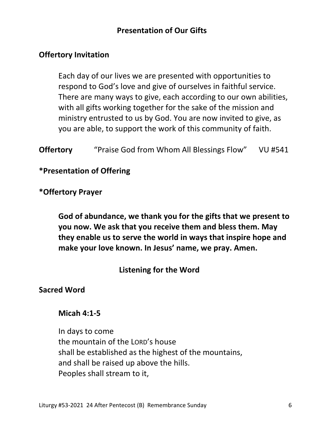## **Presentation of Our Gifts**

### **Offertory Invitation**

 Each day of our lives we are presented with opportunities to respond to God's love and give of ourselves in faithful service. There are many ways to give, each according to our own abilities, with all gifts working together for the sake of the mission and ministry entrusted to us by God. You are now invited to give, as you are able, to support the work of this community of faith.

**Offertory** "Praise God from Whom All Blessings Flow" VU #541

**\*Presentation of Offering** 

### **\*Offertory Prayer**

 **God of abundance, we thank you for the gifts that we present to you now. We ask that you receive them and bless them. May they enable us to serve the world in ways that inspire hope and make your love known. In Jesus' name, we pray. Amen.** 

## **Listening for the Word**

#### **Sacred Word**

#### **Micah 4:1-5**

In days to come the mountain of the LORD's house shall be established as the highest of the mountains, and shall be raised up above the hills. Peoples shall stream to it,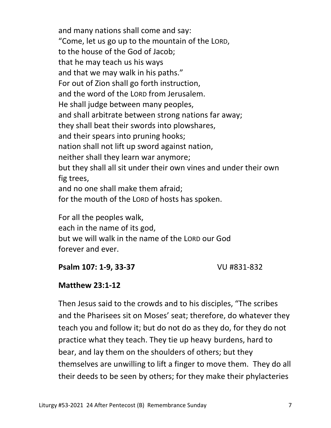and many nations shall come and say: "Come, let us go up to the mountain of the LORD, to the house of the God of Jacob; that he may teach us his ways and that we may walk in his paths." For out of Zion shall go forth instruction, and the word of the LORD from Jerusalem. He shall judge between many peoples, and shall arbitrate between strong nations far away; they shall beat their swords into plowshares, and their spears into pruning hooks; nation shall not lift up sword against nation, neither shall they learn war anymore; but they shall all sit under their own vines and under their own fig trees, and no one shall make them afraid; for the mouth of the LORD of hosts has spoken.

For all the peoples walk, each in the name of its god, but we will walk in the name of the LORD our God forever and ever.

### **Psalm 107: 1-9, 33-37** VU #831-832

## **Matthew 23:1-12**

Then Jesus said to the crowds and to his disciples, "The scribes and the Pharisees sit on Moses' seat; therefore, do whatever they teach you and follow it; but do not do as they do, for they do not practice what they teach. They tie up heavy burdens, hard to bear, and lay them on the shoulders of others; but they themselves are unwilling to lift a finger to move them. They do all their deeds to be seen by others; for they make their phylacteries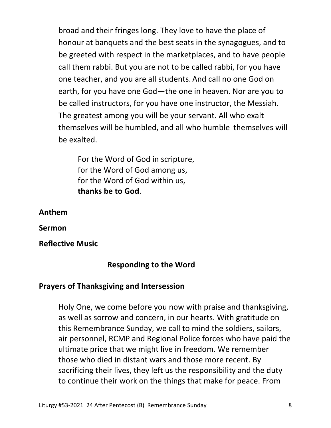broad and their fringes long. They love to have the place of honour at banquets and the best seats in the synagogues, and to be greeted with respect in the marketplaces, and to have people call them rabbi. But you are not to be called rabbi, for you have one teacher, and you are all students. And call no one God on earth, for you have one God—the one in heaven. Nor are you to be called instructors, for you have one instructor, the Messiah. The greatest among you will be your servant. All who exalt themselves will be humbled, and all who humble themselves will be exalted.

For the Word of God in scripture, for the Word of God among us, for the Word of God within us, **thanks be to God**.

**Anthem**

**Sermon** 

**Reflective Music** 

### **Responding to the Word**

### **Prayers of Thanksgiving and Intersession**

Holy One, we come before you now with praise and thanksgiving, as well as sorrow and concern, in our hearts. With gratitude on this Remembrance Sunday, we call to mind the soldiers, sailors, air personnel, RCMP and Regional Police forces who have paid the ultimate price that we might live in freedom. We remember those who died in distant wars and those more recent. By sacrificing their lives, they left us the responsibility and the duty to continue their work on the things that make for peace. From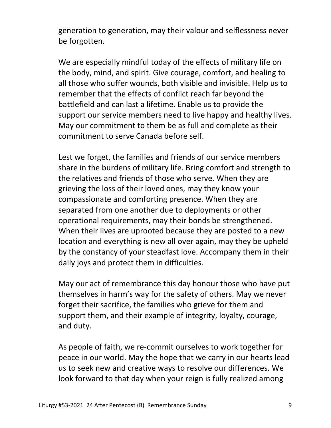generation to generation, may their valour and selflessness never be forgotten.

 We are especially mindful today of the effects of military life on the body, mind, and spirit. Give courage, comfort, and healing to all those who suffer wounds, both visible and invisible. Help us to remember that the effects of conflict reach far beyond the battlefield and can last a lifetime. Enable us to provide the support our service members need to live happy and healthy lives. May our commitment to them be as full and complete as their commitment to serve Canada before self.

 Lest we forget, the families and friends of our service members share in the burdens of military life. Bring comfort and strength to the relatives and friends of those who serve. When they are grieving the loss of their loved ones, may they know your compassionate and comforting presence. When they are separated from one another due to deployments or other operational requirements, may their bonds be strengthened. When their lives are uprooted because they are posted to a new location and everything is new all over again, may they be upheld by the constancy of your steadfast love. Accompany them in their daily joys and protect them in difficulties.

 May our act of remembrance this day honour those who have put themselves in harm's way for the safety of others. May we never forget their sacrifice, the families who grieve for them and support them, and their example of integrity, loyalty, courage, and duty.

 As people of faith, we re-commit ourselves to work together for peace in our world. May the hope that we carry in our hearts lead us to seek new and creative ways to resolve our differences. We look forward to that day when your reign is fully realized among